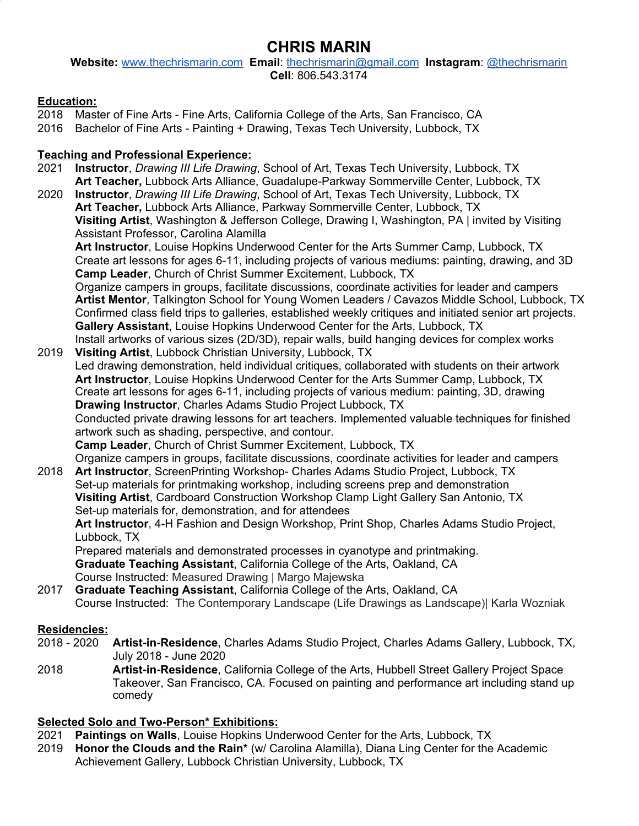# **CHRIS MARIN**

**Website:** [www.thechrismarin.com](https://www.thechrismarin.com/) **Email**: [thechrismarin@gmail.com](mailto:thechrismarin@gmail.com) **Instagram**: [@thechrismarin](https://www.instagram.com/thechrismarin/) **Cell**: 806.543.3174

### **Education:**

- 2018 Master of Fine Arts Fine Arts, California College of the Arts, San Francisco, CA
- 2016 Bachelor of Fine Arts Painting + Drawing, Texas Tech University, Lubbock, TX

## **Teaching and Professional Experience:**

- 2021 **Instructor**, *Drawing III Life Drawing*, School of Art, Texas Tech University, Lubbock, TX **Art Teacher,** Lubbock Arts Alliance, Guadalupe-Parkway Sommerville Center, Lubbock, TX
- 2020 **Instructor**, *Drawing III Life Drawing*, School of Art, Texas Tech University, Lubbock, TX **Art Teacher,** Lubbock Arts Alliance, Parkway Sommerville Center, Lubbock, TX **Visiting Artist**, Washington & Jefferson College, Drawing I, Washington, PA | invited by Visiting Assistant Professor, Carolina Alamilla

**Art Instructor**, Louise Hopkins Underwood Center for the Arts Summer Camp, Lubbock, TX Create art lessons for ages 6-11, including projects of various mediums: painting, drawing, and 3D **Camp Leader**, Church of Christ Summer Excitement, Lubbock, TX

Organize campers in groups, facilitate discussions, coordinate activities for leader and campers **Artist Mentor**, Talkington School for Young Women Leaders / Cavazos Middle School, Lubbock, TX Confirmed class field trips to galleries, established weekly critiques and initiated senior art projects. **Gallery Assistant**, Louise Hopkins Underwood Center for the Arts, Lubbock, TX Install artworks of various sizes (2D/3D), repair walls, build hanging devices for complex works

- 2019 **Visiting Artist**, Lubbock Christian University, Lubbock, TX Led drawing demonstration, held individual critiques, collaborated with students on their artwork **Art Instructor**, Louise Hopkins Underwood Center for the Arts Summer Camp, Lubbock, TX Create art lessons for ages 6-11, including projects of various medium: painting, 3D, drawing **Drawing Instructor**, Charles Adams Studio Project Lubbock, TX Conducted private drawing lessons for art teachers. Implemented valuable techniques for finished artwork such as shading, perspective, and contour. **Camp Leader**, Church of Christ Summer Excitement, Lubbock, TX Organize campers in groups, facilitate discussions, coordinate activities for leader and campers 2018 **Art Instructor**, ScreenPrinting Workshop- Charles Adams Studio Project, Lubbock, TX
- Set-up materials for printmaking workshop, including screens prep and demonstration **Visiting Artist**, Cardboard Construction Workshop Clamp Light Gallery San Antonio, TX Set-up materials for, demonstration, and for attendees **Art Instructor**, 4-H Fashion and Design Workshop, Print Shop, Charles Adams Studio Project,

Lubbock, TX

Prepared materials and demonstrated processes in cyanotype and printmaking.

**Graduate Teaching Assistant**, California College of the Arts, Oakland, CA

Course Instructed: Measured Drawing | Margo Majewska

2017 **Graduate Teaching Assistant**, California College of the Arts, Oakland, CA Course Instructed: The Contemporary Landscape (Life Drawings as Landscape)| Karla Wozniak

## **Residencies:**

- 2018 2020 **Artist-in-Residence**, Charles Adams Studio Project, Charles Adams Gallery, Lubbock, TX, July 2018 - June 2020
- 2018 **Artist-in-Residence**, California College of the Arts, Hubbell Street Gallery Project Space Takeover, San Francisco, CA. Focused on painting and performance art including stand up comedy

#### **Selected Solo and Two-Person\* Exhibitions:**

- 2021 **Paintings on Walls**, Louise Hopkins Underwood Center for the Arts, Lubbock, TX
- 2019 **Honor the Clouds and the Rain\*** (w/ Carolina Alamilla), Diana Ling Center for the Academic Achievement Gallery, Lubbock Christian University, Lubbock, TX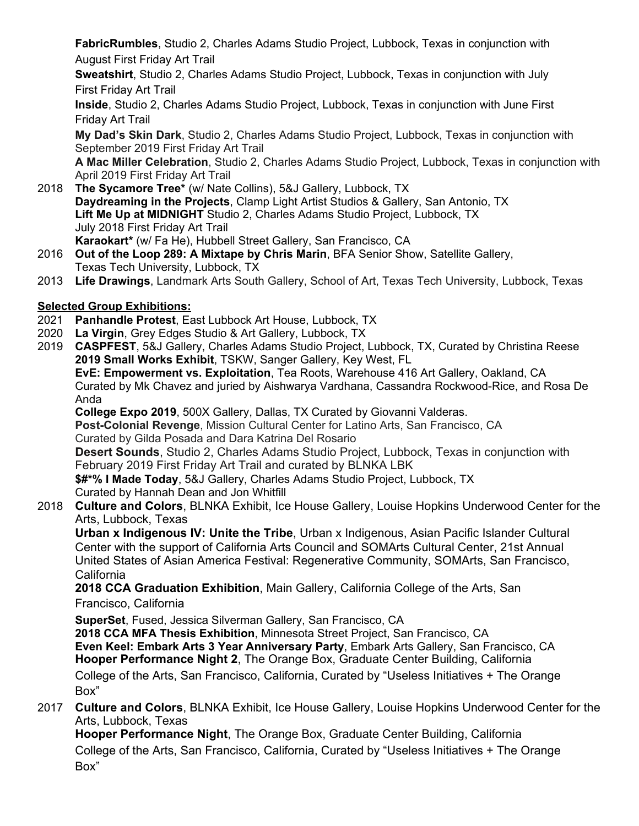**FabricRumbles**, Studio 2, Charles Adams Studio Project, Lubbock, Texas in conjunction with August First Friday Art Trail

**Sweatshirt**, Studio 2, Charles Adams Studio Project, Lubbock, Texas in conjunction with July First Friday Art Trail

**Inside**, Studio 2, Charles Adams Studio Project, Lubbock, Texas in conjunction with June First Friday Art Trail

**My Dad's Skin Dark**, Studio 2, Charles Adams Studio Project, Lubbock, Texas in conjunction with September 2019 First Friday Art Trail

**A Mac Miller Celebration**, Studio 2, Charles Adams Studio Project, Lubbock, Texas in conjunction with April 2019 First Friday Art Trail

- 2018 **The Sycamore Tree\*** (w/ Nate Collins), 5&J Gallery, Lubbock, TX **Daydreaming in the Projects**, Clamp Light Artist Studios & Gallery, San Antonio, TX **Lift Me Up at MIDNIGHT** Studio 2, Charles Adams Studio Project, Lubbock, TX July 2018 First Friday Art Trail **Karaokart\*** (w/ Fa He), Hubbell Street Gallery, San Francisco, CA
- 2016 **Out of the Loop 289: A Mixtape by Chris Marin**, BFA Senior Show, Satellite Gallery, Texas Tech University, Lubbock, TX
- 2013 **Life Drawings**, Landmark Arts South Gallery, School of Art, Texas Tech University, Lubbock, Texas

## **Selected Group Exhibitions:**

- 2021 **Panhandle Protest**, East Lubbock Art House, Lubbock, TX
- 2020 **La Virgin**, Grey Edges Studio & Art Gallery, Lubbock, TX
- 2019 **CASPFEST**, 5&J Gallery, Charles Adams Studio Project, Lubbock, TX, Curated by Christina Reese **2019 Small Works Exhibit**, TSKW, Sanger Gallery, Key West, FL

**EvE: Empowerment vs. Exploitation**, Tea Roots, Warehouse 416 Art Gallery, Oakland, CA Curated by Mk Chavez and juried by Aishwarya Vardhana, Cassandra Rockwood-Rice, and Rosa De Anda

**College Expo 2019**, 500X Gallery, Dallas, TX Curated by Giovanni Valderas.

**Post-Colonial Revenge**, Mission Cultural Center for Latino Arts, San Francisco, CA Curated by Gilda Posada and Dara Katrina Del Rosario

**Desert Sounds**, Studio 2, Charles Adams Studio Project, Lubbock, Texas in conjunction with February 2019 First Friday Art Trail and curated by BLNKA LBK

**\$#\*% I Made Today**, 5&J Gallery, Charles Adams Studio Project, Lubbock, TX Curated by Hannah Dean and Jon Whitfill

2018 **Culture and Colors**, BLNKA Exhibit, Ice House Gallery, Louise Hopkins Underwood Center for the Arts, Lubbock, Texas

**Urban x Indigenous IV: Unite the Tribe**, Urban x Indigenous, Asian Pacific Islander Cultural Center with the support of California Arts Council and SOMArts Cultural Center, 21st Annual United States of Asian America Festival: Regenerative Community, SOMArts, San Francisco, California

**2018 CCA Graduation Exhibition**, Main Gallery, California College of the Arts, San Francisco, California

**SuperSet**, Fused, Jessica Silverman Gallery, San Francisco, CA

**2018 CCA MFA Thesis Exhibition**, Minnesota Street Project, San Francisco, CA **Even Keel: Embark Arts 3 Year Anniversary Party**, Embark Arts Gallery, San Francisco, CA **Hooper Performance Night 2**, The Orange Box, Graduate Center Building, California College of the Arts, San Francisco, California, Curated by "Useless Initiatives + The Orange Box"

2017 **Culture and Colors**, BLNKA Exhibit, Ice House Gallery, Louise Hopkins Underwood Center for the Arts, Lubbock, Texas

**Hooper Performance Night**, The Orange Box, Graduate Center Building, California College of the Arts, San Francisco, California, Curated by "Useless Initiatives + The Orange Box"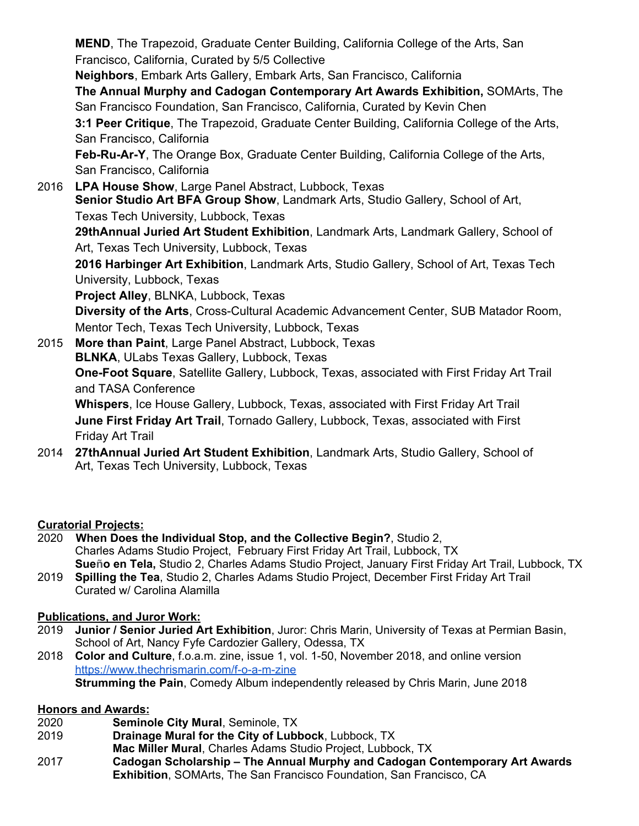**MEND**, The Trapezoid, Graduate Center Building, California College of the Arts, San Francisco, California, Curated by 5/5 Collective **Neighbors**, Embark Arts Gallery, Embark Arts, San Francisco, California **The Annual Murphy and Cadogan Contemporary Art Awards Exhibition,** SOMArts, The San Francisco Foundation, San Francisco, California, Curated by Kevin Chen **3:1 Peer Critique**, The Trapezoid, Graduate Center Building, California College of the Arts, San Francisco, California **Feb-Ru-Ar-Y**, The Orange Box, Graduate Center Building, California College of the Arts, San Francisco, California 2016 **LPA House Show**, Large Panel Abstract, Lubbock, Texas **Senior Studio Art BFA Group Show**, Landmark Arts, Studio Gallery, School of Art, Texas Tech University, Lubbock, Texas **29thAnnual Juried Art Student Exhibition**, Landmark Arts, Landmark Gallery, School of Art, Texas Tech University, Lubbock, Texas **2016 Harbinger Art Exhibition**, Landmark Arts, Studio Gallery, School of Art, Texas Tech University, Lubbock, Texas **Project Alley**, BLNKA, Lubbock, Texas **Diversity of the Arts**, Cross-Cultural Academic Advancement Center, SUB Matador Room, Mentor Tech, Texas Tech University, Lubbock, Texas 2015 **More than Paint**, Large Panel Abstract, Lubbock, Texas **BLNKA**, ULabs Texas Gallery, Lubbock, Texas **One-Foot Square**, Satellite Gallery, Lubbock, Texas, associated with First Friday Art Trail and TASA Conference

**Whispers**, Ice House Gallery, Lubbock, Texas, associated with First Friday Art Trail **June First Friday Art Trail**, Tornado Gallery, Lubbock, Texas, associated with First Friday Art Trail

2014 **27thAnnual Juried Art Student Exhibition**, Landmark Arts, Studio Gallery, School of Art, Texas Tech University, Lubbock, Texas

#### **Curatorial Projects:**

- 2020 **When Does the Individual Stop, and the Collective Begin?**, Studio 2, Charles Adams Studio Project, February First Friday Art Trail, Lubbock, TX **Sueño en Tela,** Studio 2, Charles Adams Studio Project, January First Friday Art Trail, Lubbock, TX
- 2019 **Spilling the Tea**, Studio 2, Charles Adams Studio Project, December First Friday Art Trail Curated w/ Carolina Alamilla

#### **Publications, and Juror Work:**

- 2019 **Junior / Senior Juried Art Exhibition**, Juror: Chris Marin, University of Texas at Permian Basin, School of Art, Nancy Fyfe Cardozier Gallery, Odessa, TX
- 2018 **Color and Culture**, f.o.a.m. zine, issue 1, vol. 1-50, November 2018, and online version <https://www.thechrismarin.com/f-o-a-m-zine> **Strumming the Pain**, Comedy Album independently released by Chris Marin, June 2018

#### **Honors and Awards:**

- 2020 **Seminole City Mural**, Seminole, TX
- 2019 **Drainage Mural for the City of Lubbock**, Lubbock, TX
- **Mac Miller Mural**, Charles Adams Studio Project, Lubbock, TX
- 2017 **Cadogan Scholarship – The Annual Murphy and Cadogan Contemporary Art Awards Exhibition**, SOMArts, The San Francisco Foundation, San Francisco, CA